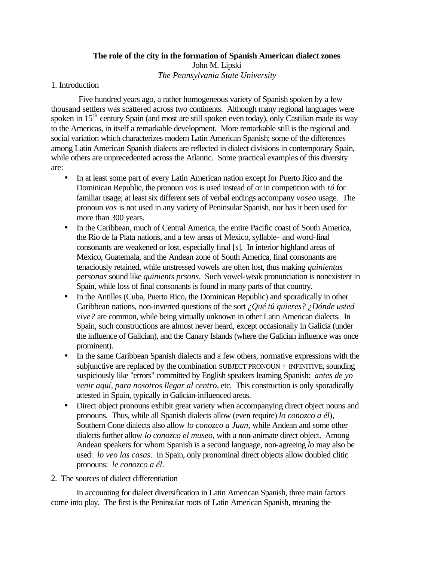# **The role of the city in the formation of Spanish American dialect zones** John M. Lipski *The Pennsylvania State University*

## 1. Introduction

 Five hundred years ago, a rather homogeneous variety of Spanish spoken by a few thousand settlers was scattered across two continents. Although many regional languages were spoken in 15<sup>th</sup> century Spain (and most are still spoken even today), only Castilian made its way to the Americas, in itself a remarkable development. More remarkable still is the regional and social variation which characterizes modern Latin American Spanish; some of the differences among Latin American Spanish dialects are reflected in dialect divisions in contemporary Spain, while others are unprecedented across the Atlantic. Some practical examples of this diversity are:

- In at least some part of every Latin American nation except for Puerto Rico and the Dominican Republic, the pronoun *vos* is used instead of or in competition with *tú* for familiar usage; at least six different sets of verbal endings accompany *voseo* usage. The pronoun *vos* is not used in any variety of Peninsular Spanish, nor has it been used for more than 300 years.
- In the Caribbean, much of Central America, the entire Pacific coast of South America, the Rio de la Plata nations, and a few areas of Mexico, syllable- and word-final consonants are weakened or lost, especially final [s]. In interior highland areas of Mexico, Guatemala, and the Andean zone of South America, final consonants are tenaciously retained, while unstressed vowels are often lost, thus making *quinientas personas* sound like *quinients prsons*. Such vowel-weak pronunciation is nonexistent in Spain, while loss of final consonants is found in many parts of that country.
- In the Antilles (Cuba, Puerto Rico, the Dominican Republic) and sporadically in other Caribbean nations, non-inverted questions of the sort *¿Qué tú quieres? ¿Dónde usted vive?* are common, while being virtually unknown in other Latin American dialects. In Spain, such constructions are almost never heard, except occasionally in Galicia (under the influence of Galician), and the Canary Islands (where the Galician influence was once prominent).
- In the same Caribbean Spanish dialects and a few others, normative expressions with the subjunctive are replaced by the combination SUBJECT PRONOUN + INFINITIVE, sounding suspiciously like "errors" committed by English speakers learning Spanish: *antes de yo venir aquí, para nosotros llegar al centro*, etc. This construction is only sporadically attested in Spain, typically in Galician-influenced areas.
- Direct object pronouns exhibit great variety when accompanying direct object nouns and pronouns. Thus, while all Spanish dialects allow (even require) *lo conozco a él*), Southern Cone dialects also allow *lo conozco a Juan*, while Andean and some other dialects further allow *lo conozco el museo*, with a non-animate direct object. Among Andean speakers for whom Spanish is a second language, non-agreeing *lo* may also be used: *lo veo las casas*. In Spain, only pronominal direct objects allow doubled clitic pronouns: *le conozco a él*.
- 2. The sources of dialect differentiation

In accounting for dialect diversification in Latin American Spanish, three main factors come into play. The first is the Peninsular roots of Latin American Spanish, meaning the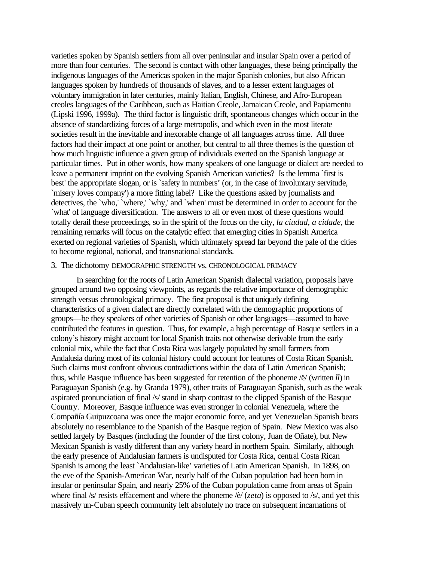varieties spoken by Spanish settlers from all over peninsular and insular Spain over a period of more than four centuries. The second is contact with other languages, these being principally the indigenous languages of the Americas spoken in the major Spanish colonies, but also African languages spoken by hundreds of thousands of slaves, and to a lesser extent languages of voluntary immigration in later centuries, mainly Italian, English, Chinese, and Afro-European creoles languages of the Caribbean, such as Haitian Creole, Jamaican Creole, and Papiamentu (Lipski 1996, 1999a). The third factor is linguistic drift, spontaneous changes which occur in the absence of standardizing forces of a large metropolis, and which even in the most literate societies result in the inevitable and inexorable change of all languages across time. All three factors had their impact at one point or another, but central to all three themes is the question of how much linguistic influence a given group of individuals exerted on the Spanish language at particular times. Put in other words, how many speakers of one language or dialect are needed to leave a permanent imprint on the evolving Spanish American varieties? Is the lemma `first is best' the appropriate slogan, or is `safety in numbers' (or, in the case of involuntary servitude, `misery loves company') a more fitting label? Like the questions asked by journalists and detectives, the 'who,' 'where,' 'why,' and 'when' must be determined in order to account for the `what' of language diversification. The answers to all or even most of these questions would totally derail these proceedings, so in the spirit of the focus on the city, *la ciudad, a cidade*, the remaining remarks will focus on the catalytic effect that emerging cities in Spanish America exerted on regional varieties of Spanish, which ultimately spread far beyond the pale of the cities to become regional, national, and transnational standards.

#### 3. The dichotomy DEMOGRAPHIC STRENGTH vs. CHRONOLOGICAL PRIMACY

In searching for the roots of Latin American Spanish dialectal variation, proposals have grouped around two opposing viewpoints, as regards the relative importance of demographic strength versus chronological primacy. The first proposal is that uniquely defining characteristics of a given dialect are directly correlated with the demographic proportions of groups—be they speakers of other varieties of Spanish or other languages—assumed to have contributed the features in question. Thus, for example, a high percentage of Basque settlers in a colony's history might account for local Spanish traits not otherwise derivable from the early colonial mix, while the fact that Costa Rica was largely populated by small farmers from Andalusia during most of its colonial history could account for features of Costa Rican Spanish. Such claims must confront obvious contradictions within the data of Latin American Spanish; thus, while Basque influence has been suggested for retention of the phoneme /ë/ (written *ll*) in Paraguayan Spanish (e.g. by Granda 1979), other traits of Paraguayan Spanish, such as the weak aspirated pronunciation of final /s/ stand in sharp contrast to the clipped Spanish of the Basque Country. Moreover, Basque influence was even stronger in colonial Venezuela, where the Compañía Guipuzcoana was once the major economic force, and yet Venezuelan Spanish bears absolutely no resemblance to the Spanish of the Basque region of Spain. New Mexico was also settled largely by Basques (including the founder of the first colony, Juan de Oñate), but New Mexican Spanish is vastly different than any variety heard in northern Spain. Similarly, although the early presence of Andalusian farmers is undisputed for Costa Rica, central Costa Rican Spanish is among the least `Andalusian-like' varieties of Latin American Spanish. In 1898, on the eve of the Spanish-American War, nearly half of the Cuban population had been born in insular or peninsular Spain, and nearly 25% of the Cuban population came from areas of Spain where final /s/ resists effacement and where the phoneme /è/ (*zeta*) is opposed to /s/, and yet this massively un-Cuban speech community left absolutely no trace on subsequent incarnations of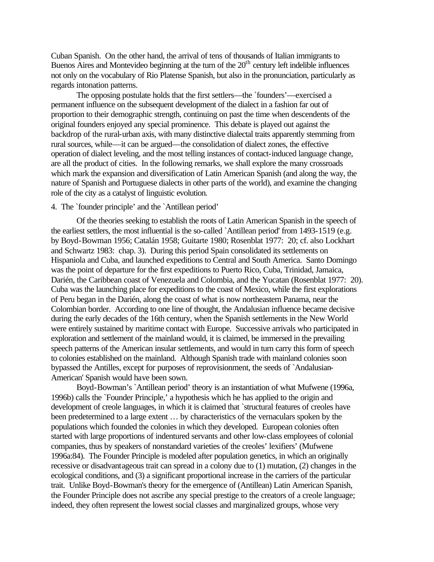Cuban Spanish. On the other hand, the arrival of tens of thousands of Italian immigrants to Buenos Aires and Montevideo beginning at the turn of the  $20<sup>th</sup>$  century left indelible influences not only on the vocabulary of Rio Platense Spanish, but also in the pronunciation, particularly as regards intonation patterns.

The opposing postulate holds that the first settlers—the `founders'—exercised a permanent influence on the subsequent development of the dialect in a fashion far out of proportion to their demographic strength, continuing on past the time when descendents of the original founders enjoyed any special prominence. This debate is played out against the backdrop of the rural-urban axis, with many distinctive dialectal traits apparently stemming from rural sources, while—it can be argued—the consolidation of dialect zones, the effective operation of dialect leveling, and the most telling instances of contact-induced language change, are all the product of cities. In the following remarks, we shall explore the many crossroads which mark the expansion and diversification of Latin American Spanish (and along the way, the nature of Spanish and Portuguese dialects in other parts of the world), and examine the changing role of the city as a catalyst of linguistic evolution.

## 4. The `founder principle' and the `Antillean period'

Of the theories seeking to establish the roots of Latin American Spanish in the speech of the earliest settlers, the most influential is the so-called `Antillean period' from 1493-1519 (e.g. by Boyd-Bowman 1956; Catalán 1958; Guitarte 1980; Rosenblat 1977: 20; cf. also Lockhart and Schwartz 1983: chap. 3). During this period Spain consolidated its settlements on Hispaniola and Cuba, and launched expeditions to Central and South America. Santo Domingo was the point of departure for the first expeditions to Puerto Rico, Cuba, Trinidad, Jamaica, Darién, the Caribbean coast of Venezuela and Colombia, and the Yucatan (Rosenblat 1977: 20). Cuba was the launching place for expeditions to the coast of Mexico, while the first explorations of Peru began in the Darién, along the coast of what is now northeastern Panama, near the Colombian border. According to one line of thought, the Andalusian influence became decisive during the early decades of the 16th century, when the Spanish settlements in the New World were entirely sustained by maritime contact with Europe. Successive arrivals who participated in exploration and settlement of the mainland would, it is claimed, be immersed in the prevailing speech patterns of the American insular settlements, and would in turn carry this form of speech to colonies established on the mainland. Although Spanish trade with mainland colonies soon bypassed the Antilles, except for purposes of reprovisionment, the seeds of `Andalusian-American' Spanish would have been sown.

Boyd-Bowman's `Antillean period' theory is an instantiation of what Mufwene (1996a, 1996b) calls the `Founder Principle,' a hypothesis which he has applied to the origin and development of creole languages, in which it is claimed that `structural features of creoles have been predetermined to a large extent … by characteristics of the vernaculars spoken by the populations which founded the colonies in which they developed. European colonies often started with large proportions of indentured servants and other low-class employees of colonial companies, thus by speakers of nonstandard varieties of the creoles' lexifiers' (Mufwene 1996a:84). The Founder Principle is modeled after population genetics, in which an originally recessive or disadvantageous trait can spread in a colony due to (1) mutation, (2) changes in the ecological conditions, and (3) a significant proportional increase in the carriers of the particular trait. Unlike Boyd-Bowman's theory for the emergence of (Antillean) Latin American Spanish, the Founder Principle does not ascribe any special prestige to the creators of a creole language; indeed, they often represent the lowest social classes and marginalized groups, whose very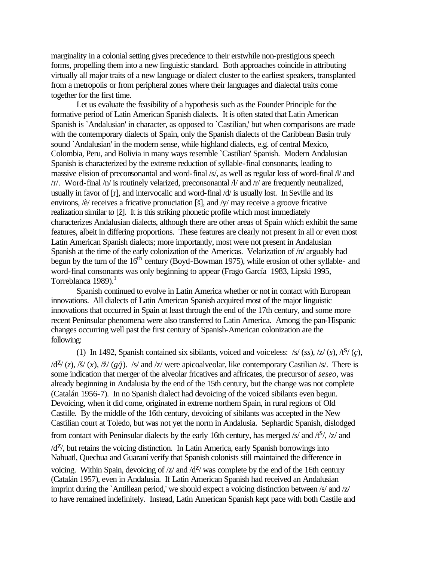marginality in a colonial setting gives precedence to their erstwhile non-prestigious speech forms, propelling them into a new linguistic standard. Both approaches coincide in attributing virtually all major traits of a new language or dialect cluster to the earliest speakers, transplanted from a metropolis or from peripheral zones where their languages and dialectal traits come together for the first time.

Let us evaluate the feasibility of a hypothesis such as the Founder Principle for the formative period of Latin American Spanish dialects. It is often stated that Latin American Spanish is `Andalusian' in character, as opposed to `Castilian,' but when comparisons are made with the contemporary dialects of Spain, only the Spanish dialects of the Caribbean Basin truly sound `Andalusian' in the modern sense, while highland dialects, e.g. of central Mexico, Colombia, Peru, and Bolivia in many ways resemble `Castilian' Spanish. Modern Andalusian Spanish is characterized by the extreme reduction of syllable-final consonants, leading to massive elision of preconsonantal and word-final /s/, as well as regular loss of word-final /l/ and /r/. Word-final /n/ is routinely velarized, preconsonantal /l/ and /r/ are frequently neutralized, usually in favor of [r], and intervocalic and word-final /d/ is usually lost. In Seville and its environs, /è/ receives a fricative pronuciation [š], and /y/ may receive a groove fricative realization similar to [ž]. It is this striking phonetic profile which most immediately characterizes Andalusian dialects, although there are other areas of Spain which exhibit the same features, albeit in differing proportions. These features are clearly not present in all or even most Latin American Spanish dialects; more importantly, most were not present in Andalusian Spanish at the time of the early colonization of the Americas. Velarization of /n/ arguably had begun by the turn of the 16<sup>th</sup> century (Boyd-Bowman 1975), while erosion of other syllable- and word-final consonants was only beginning to appear (Frago García 1983, Lipski 1995, Torreblanca  $1989$ ).<sup>1</sup>

Spanish continued to evolve in Latin America whether or not in contact with European innovations. All dialects of Latin American Spanish acquired most of the major linguistic innovations that occurred in Spain at least through the end of the 17th century, and some more recent Peninsular phenomena were also transferred to Latin America. Among the pan-Hispanic changes occurring well past the first century of Spanish-American colonization are the following:

(1) In 1492, Spanish contained six sibilants, voiced and voiceless:  $\frac{s}{s}$  (*ss*),  $\frac{z}{s}$  (*s*),  $\frac{t}{s}$  (*c*),  $\frac{d^{2}}{z}$ ,  $\frac{\partial f}{\partial x}$ ,  $\frac{\partial f}{\partial y}$ ,  $\frac{\partial f}{\partial z}$  and  $\frac{dz}{dy}$  were apicoalveolar, like contemporary Castilian /s/. There is some indication that merger of the alveolar fricatives and affricates, the precursor of *seseo*, was already beginning in Andalusia by the end of the 15th century, but the change was not complete (Catalán 1956-7). In no Spanish dialect had devoicing of the voiced sibilants even begun. Devoicing, when it did come, originated in extreme northern Spain, in rural regions of Old Castille. By the middle of the 16th century, devoicing of sibilants was accepted in the New Castilian court at Toledo, but was not yet the norm in Andalusia. Sephardic Spanish, dislodged from contact with Peninsular dialects by the early 16th century, has merged  $/s$  and  $/t<sup>S</sup>$ ,  $/z$  and

 $\frac{dZ}{dt}$ , but retains the voicing distinction. In Latin America, early Spanish borrowings into Nahuatl, Quechua and Guaraní verify that Spanish colonists still maintained the difference in

voicing. Within Spain, devoicing of  $\frac{z}{a}$  and  $\frac{d^2}{\alpha}$  was complete by the end of the 16th century (Catalán 1957), even in Andalusia. If Latin American Spanish had received an Andalusian imprint during the `Antillean period,' we should expect a voicing distinction between /s/ and /z/ to have remained indefinitely. Instead, Latin American Spanish kept pace with both Castile and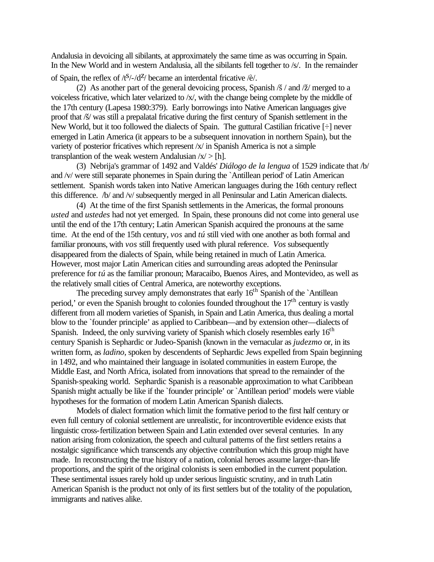Andalusia in devoicing all sibilants, at approximately the same time as was occurring in Spain. In the New World and in western Andalusia, all the sibilants fell together to /s/. In the remainder

of Spain, the reflex of  $\sqrt{5/-}/d^2$  became an interdental fricative  $\sqrt{e}/$ .

(2) As another part of the general devoicing process, Spanish  $\beta$  / and  $\alpha$  / $\alpha$  merged to a voiceless fricative, which later velarized to /x/, with the change being complete by the middle of the 17th century (Lapesa 1980:379). Early borrowings into Native American languages give proof that /š/ was still a prepalatal fricative during the first century of Spanish settlement in the New World, but it too followed the dialects of Spain. The guttural Castilian fricative [÷] never emerged in Latin America (it appears to be a subsequent innovation in northern Spain), but the variety of posterior fricatives which represent /x/ in Spanish America is not a simple transplantion of the weak western Andalusian  $|x| > [h]$ .

(3) Nebrija's grammar of 1492 and Valdés' *Diálogo de la lengua* of 1529 indicate that /b/ and /v/ were still separate phonemes in Spain during the `Antillean period' of Latin American settlement. Spanish words taken into Native American languages during the 16th century reflect this difference. /b/ and /v/ subsequently merged in all Peninsular and Latin American dialects.

(4) At the time of the first Spanish settlements in the Americas, the formal pronouns *usted* and *ustedes* had not yet emerged. In Spain, these pronouns did not come into general use until the end of the 17th century; Latin American Spanish acquired the pronouns at the same time. At the end of the 15th century, *vos* and *tú* still vied with one another as both formal and familiar pronouns, with *vos* still frequently used with plural reference. *Vos* subsequently disappeared from the dialects of Spain, while being retained in much of Latin America. However, most major Latin American cities and surrounding areas adopted the Peninsular preference for *tú* as the familiar pronoun; Maracaibo, Buenos Aires, and Montevideo, as well as the relatively small cities of Central America, are noteworthy exceptions.

The preceding survey amply demonstrates that early  $16<sup>th</sup>$  Spanish of the `Antillean period,' or even the Spanish brought to colonies founded throughout the  $17<sup>th</sup>$  century is vastly different from all modern varieties of Spanish, in Spain and Latin America, thus dealing a mortal blow to the `founder principle' as applied to Caribbean—and by extension other—dialects of Spanish. Indeed, the only surviving variety of Spanish which closely resembles early  $16<sup>th</sup>$ century Spanish is Sephardic or Judeo-Spanish (known in the vernacular as *judezmo* or, in its written form, as *ladino*, spoken by descendents of Sephardic Jews expelled from Spain beginning in 1492, and who maintained their language in isolated communities in eastern Europe, the Middle East, and North Africa, isolated from innovations that spread to the remainder of the Spanish-speaking world. Sephardic Spanish is a reasonable approximation to what Caribbean Spanish might actually be like if the `founder principle' or `Antillean period' models were viable hypotheses for the formation of modern Latin American Spanish dialects.

Models of dialect formation which limit the formative period to the first half century or even full century of colonial settlement are unrealistic, for incontrovertible evidence exists that linguistic cross-fertilization between Spain and Latin extended over several centuries. In any nation arising from colonization, the speech and cultural patterns of the first settlers retains a nostalgic significance which transcends any objective contribution which this group might have made. In reconstructing the true history of a nation, colonial heroes assume larger-than-life proportions, and the spirit of the original colonists is seen embodied in the current population. These sentimental issues rarely hold up under serious linguistic scrutiny, and in truth Latin American Spanish is the product not only of its first settlers but of the totality of the population, immigrants and natives alike.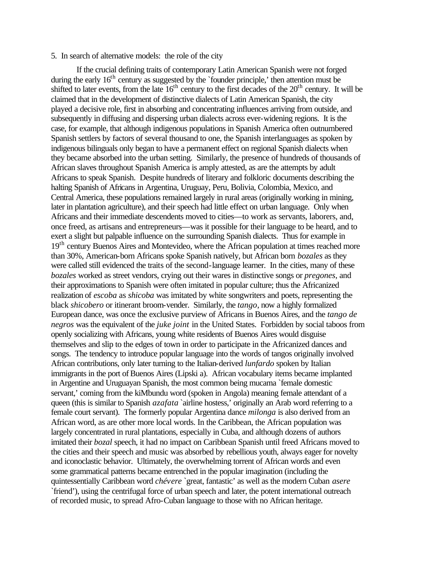### 5. In search of alternative models: the role of the city

If the crucial defining traits of contemporary Latin American Spanish were not forged during the early  $16<sup>th</sup>$  century as suggested by the `founder principle,' then attention must be shifted to later events, from the late  $16<sup>th</sup>$  century to the first decades of the  $20<sup>th</sup>$  century. It will be claimed that in the development of distinctive dialects of Latin American Spanish, the city played a decisive role, first in absorbing and concentrating influences arriving from outside, and subsequently in diffusing and dispersing urban dialects across ever-widening regions. It is the case, for example, that although indigenous populations in Spanish America often outnumbered Spanish settlers by factors of several thousand to one, the Spanish interlanguages as spoken by indigenous bilinguals only began to have a permanent effect on regional Spanish dialects when they became absorbed into the urban setting. Similarly, the presence of hundreds of thousands of African slaves throughout Spanish America is amply attested, as are the attempts by adult Africans to speak Spanish. Despite hundreds of literary and folkloric documents describing the halting Spanish of Africans in Argentina, Uruguay, Peru, Bolivia, Colombia, Mexico, and Central America, these populations remained largely in rural areas (originally working in mining, later in plantation agriculture), and their speech had little effect on urban language. Only when Africans and their immediate descendents moved to cities—to work as servants, laborers, and, once freed, as artisans and entrepreneurs—was it possible for their language to be heard, and to exert a slight but palpable influence on the surrounding Spanish dialects. Thus for example in 19<sup>th</sup> century Buenos Aires and Montevideo, where the African population at times reached more than 30%, American-born Africans spoke Spanish natively, but African born *bozales* as they were called still evidenced the traits of the second-language learner. In the cities, many of these *bozales* worked as street vendors, crying out their wares in distinctive songs or *pregones*, and their approximations to Spanish were often imitated in popular culture; thus the Africanized realization of *escoba* as *shicoba* was imitated by white songwriters and poets, representing the black *shicobero* or itinerant broom-vender. Similarly, the *tango*, now a highly formalized European dance, was once the exclusive purview of Africans in Buenos Aires, and the *tango de negros* was the equivalent of the *juke joint* in the United States. Forbidden by social taboos from openly socializing with Africans, young white residents of Buenos Aires would disguise themselves and slip to the edges of town in order to participate in the Africanized dances and songs. The tendency to introduce popular language into the words of tangos originally involved African contributions, only later turning to the Italian-derived *lunfardo* spoken by Italian immigrants in the port of Buenos Aires (Lipski a). African vocabulary items became implanted in Argentine and Uruguayan Spanish, the most common being mucama `female domestic servant,' coming from the kiMbundu word (spoken in Angola) meaning female attendant of a queen (this is similar to Spanish *azafata* `airline hostess,' originally an Arab word referring to a female court servant). The formerly popular Argentina dance *milonga* is also derived from an African word, as are other more local words. In the Caribbean, the African population was largely concentrated in rural plantations, especially in Cuba, and although dozens of authors imitated their *bozal* speech, it had no impact on Caribbean Spanish until freed Africans moved to the cities and their speech and music was absorbed by rebellious youth, always eager for novelty and iconoclastic behavior. Ultimately, the overwhelming torrent of African words and even some grammatical patterns became entrenched in the popular imagination (including the quintessentially Caribbean word *chévere* `great, fantastic' as well as the modern Cuban *asere* `friend'), using the centrifugal force of urban speech and later, the potent international outreach of recorded music, to spread Afro-Cuban language to those with no African heritage.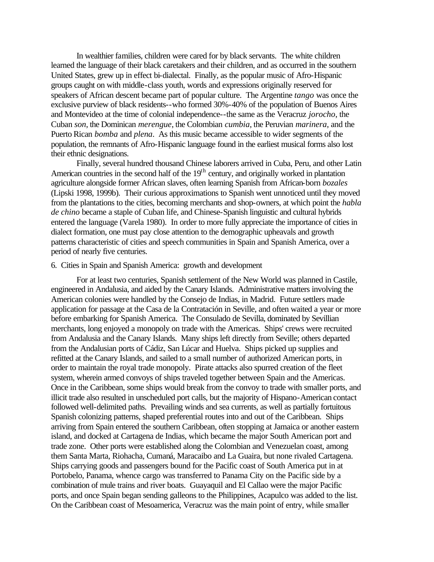In wealthier families, children were cared for by black servants. The white children learned the language of their black caretakers and their children, and as occurred in the southern United States, grew up in effect bi-dialectal. Finally, as the popular music of Afro-Hispanic groups caught on with middle-class youth, words and expressions originally reserved for speakers of African descent became part of popular culture. The Argentine *tango* was once the exclusive purview of black residents--who formed 30%-40% of the population of Buenos Aires and Montevideo at the time of colonial independence--the same as the Veracruz *jorocho*, the Cuban *son*, the Dominican *merengue*, the Colombian *cumbia*, the Peruvian *marinera*, and the Puerto Rican *bomba* and *plena*. As this music became accessible to wider segments of the population, the remnants of Afro-Hispanic language found in the earliest musical forms also lost their ethnic designations.

Finally, several hundred thousand Chinese laborers arrived in Cuba, Peru, and other Latin American countries in the second half of the  $19<sup>th</sup>$  century, and originally worked in plantation agriculture alongside former African slaves, often learning Spanish from African-born *bozales* (Lipski 1998, 1999b). Their curious approximations to Spanish went unnoticed until they moved from the plantations to the cities, becoming merchants and shop-owners, at which point the *habla de chino* became a staple of Cuban life, and Chinese-Spanish linguistic and cultural hybrids entered the language (Varela 1980). In order to more fully appreciate the importance of cities in dialect formation, one must pay close attention to the demographic upheavals and growth patterns characteristic of cities and speech communities in Spain and Spanish America, over a period of nearly five centuries.

# 6. Cities in Spain and Spanish America: growth and development

For at least two centuries, Spanish settlement of the New World was planned in Castile, engineered in Andalusia, and aided by the Canary Islands. Administrative matters involving the American colonies were handled by the Consejo de Indias, in Madrid. Future settlers made application for passage at the Casa de la Contratación in Seville, and often waited a year or more before embarking for Spanish America. The Consulado de Sevilla, dominated by Sevillian merchants, long enjoyed a monopoly on trade with the Americas. Ships' crews were recruited from Andalusia and the Canary Islands. Many ships left directly from Seville; others departed from the Andalusian ports of Cádiz, San Lúcar and Huelva. Ships picked up supplies and refitted at the Canary Islands, and sailed to a small number of authorized American ports, in order to maintain the royal trade monopoly. Pirate attacks also spurred creation of the fleet system, wherein armed convoys of ships traveled together between Spain and the Americas. Once in the Caribbean, some ships would break from the convoy to trade with smaller ports, and illicit trade also resulted in unscheduled port calls, but the majority of Hispano-American contact followed well-delimited paths. Prevailing winds and sea currents, as well as partially fortuitous Spanish colonizing patterns, shaped preferential routes into and out of the Caribbean. Ships arriving from Spain entered the southern Caribbean, often stopping at Jamaica or another eastern island, and docked at Cartagena de Indias, which became the major South American port and trade zone. Other ports were established along the Colombian and Venezuelan coast, among them Santa Marta, Riohacha, Cumaná, Maracaibo and La Guaira, but none rivaled Cartagena. Ships carrying goods and passengers bound for the Pacific coast of South America put in at Portobelo, Panama, whence cargo was transferred to Panama City on the Pacific side by a combination of mule trains and river boats. Guayaquil and El Callao were the major Pacific ports, and once Spain began sending galleons to the Philippines, Acapulco was added to the list. On the Caribbean coast of Mesoamerica, Veracruz was the main point of entry, while smaller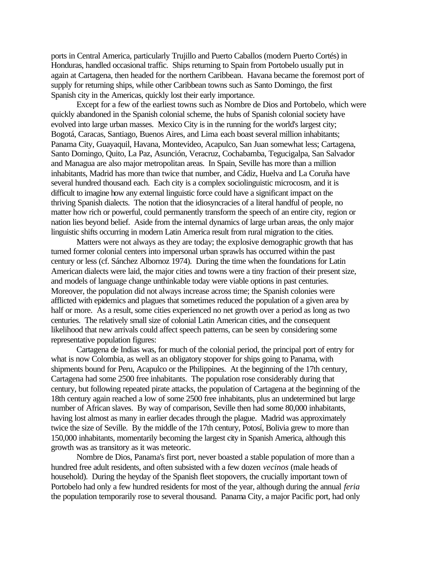ports in Central America, particularly Trujillo and Puerto Caballos (modern Puerto Cortés) in Honduras, handled occasional traffic. Ships returning to Spain from Portobelo usually put in again at Cartagena, then headed for the northern Caribbean. Havana became the foremost port of supply for returning ships, while other Caribbean towns such as Santo Domingo, the first Spanish city in the Americas, quickly lost their early importance.

Except for a few of the earliest towns such as Nombre de Dios and Portobelo, which were quickly abandoned in the Spanish colonial scheme, the hubs of Spanish colonial society have evolved into large urban masses. Mexico City is in the running for the world's largest city; Bogotá, Caracas, Santiago, Buenos Aires, and Lima each boast several million inhabitants; Panama City, Guayaquil, Havana, Montevideo, Acapulco, San Juan somewhat less; Cartagena, Santo Domingo, Quito, La Paz, Asunción, Veracruz, Cochabamba, Tegucigalpa, San Salvador and Managua are also major metropolitan areas. In Spain, Seville has more than a million inhabitants, Madrid has more than twice that number, and Cádiz, Huelva and La Coruña have several hundred thousand each. Each city is a complex sociolinguistic microcosm, and it is difficult to imagine how any external linguistic force could have a significant impact on the thriving Spanish dialects. The notion that the idiosyncracies of a literal handful of people, no matter how rich or powerful, could permanently transform the speech of an entire city, region or nation lies beyond belief. Aside from the internal dynamics of large urban areas, the only major linguistic shifts occurring in modern Latin America result from rural migration to the cities.

Matters were not always as they are today; the explosive demographic growth that has turned former colonial centers into impersonal urban sprawls has occurred within the past century or less (cf. Sánchez Albornoz 1974). During the time when the foundations for Latin American dialects were laid, the major cities and towns were a tiny fraction of their present size, and models of language change unthinkable today were viable options in past centuries. Moreover, the population did not always increase across time; the Spanish colonies were afflicted with epidemics and plagues that sometimes reduced the population of a given area by half or more. As a result, some cities experienced no net growth over a period as long as two centuries. The relatively small size of colonial Latin American cities, and the consequent likelihood that new arrivals could affect speech patterns, can be seen by considering some representative population figures:

Cartagena de Indias was, for much of the colonial period, the principal port of entry for what is now Colombia, as well as an obligatory stopover for ships going to Panama, with shipments bound for Peru, Acapulco or the Philippines. At the beginning of the 17th century, Cartagena had some 2500 free inhabitants. The population rose considerably during that century, but following repeated pirate attacks, the population of Cartagena at the beginning of the 18th century again reached a low of some 2500 free inhabitants, plus an undetermined but large number of African slaves. By way of comparison, Seville then had some 80,000 inhabitants, having lost almost as many in earlier decades through the plague. Madrid was approximately twice the size of Seville. By the middle of the 17th century, Potosí, Bolivia grew to more than 150,000 inhabitants, momentarily becoming the largest city in Spanish America, although this growth was as transitory as it was meteoric.

Nombre de Dios, Panama's first port, never boasted a stable population of more than a hundred free adult residents, and often subsisted with a few dozen *vecinos* (male heads of household). During the heyday of the Spanish fleet stopovers, the crucially important town of Portobelo had only a few hundred residents for most of the year, although during the annual *feria* the population temporarily rose to several thousand. Panama City, a major Pacific port, had only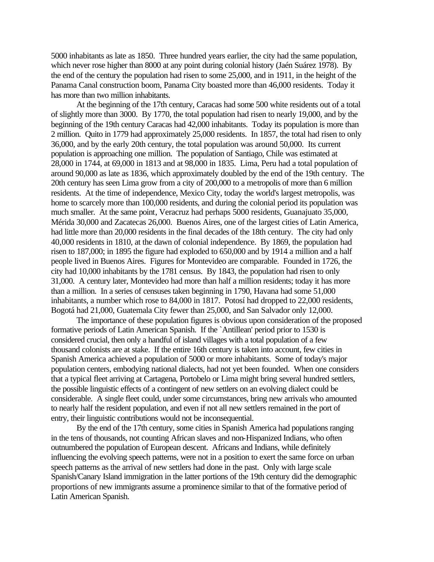5000 inhabitants as late as 1850. Three hundred years earlier, the city had the same population, which never rose higher than 8000 at any point during colonial history (Jaén Suárez 1978). By the end of the century the population had risen to some 25,000, and in 1911, in the height of the Panama Canal construction boom, Panama City boasted more than 46,000 residents. Today it has more than two million inhabitants.

At the beginning of the 17th century, Caracas had some 500 white residents out of a total of slightly more than 3000. By 1770, the total population had risen to nearly 19,000, and by the beginning of the 19th century Caracas had 42,000 inhabitants. Today its population is more than 2 million. Quito in 1779 had approximately 25,000 residents. In 1857, the total had risen to only 36,000, and by the early 20th century, the total population was around 50,000. Its current population is approaching one million. The population of Santiago, Chile was estimated at 28,000 in 1744, at 69,000 in 1813 and at 98,000 in 1835. Lima, Peru had a total population of around 90,000 as late as 1836, which approximately doubled by the end of the 19th century. The 20th century has seen Lima grow from a city of 200,000 to a metropolis of more than 6 million residents. At the time of independence, Mexico City, today the world's largest metropolis, was home to scarcely more than 100,000 residents, and during the colonial period its population was much smaller. At the same point, Veracruz had perhaps 5000 residents, Guanajuato 35,000, Mérida 30,000 and Zacatecas 26,000. Buenos Aires, one of the largest cities of Latin America, had little more than 20,000 residents in the final decades of the 18th century. The city had only 40,000 residents in 1810, at the dawn of colonial independence. By 1869, the population had risen to 187,000; in 1895 the figure had exploded to 650,000 and by 1914 a million and a half people lived in Buenos Aires. Figures for Montevideo are comparable. Founded in 1726, the city had 10,000 inhabitants by the 1781 census. By 1843, the population had risen to only 31,000. A century later, Montevideo had more than half a million residents; today it has more than a million. In a series of censuses taken beginning in 1790, Havana had some 51,000 inhabitants, a number which rose to 84,000 in 1817. Potosí had dropped to 22,000 residents, Bogotá had 21,000, Guatemala City fewer than 25,000, and San Salvador only 12,000.

The importance of these population figures is obvious upon consideration of the proposed formative periods of Latin American Spanish. If the `Antillean' period prior to 1530 is considered crucial, then only a handful of island villages with a total population of a few thousand colonists are at stake. If the entire 16th century is taken into account, few cities in Spanish America achieved a population of 5000 or more inhabitants. Some of today's major population centers, embodying national dialects, had not yet been founded. When one considers that a typical fleet arriving at Cartagena, Portobelo or Lima might bring several hundred settlers, the possible linguistic effects of a contingent of new settlers on an evolving dialect could be considerable. A single fleet could, under some circumstances, bring new arrivals who amounted to nearly half the resident population, and even if not all new settlers remained in the port of entry, their linguistic contributions would not be inconsequential.

By the end of the 17th century, some cities in Spanish America had populations ranging in the tens of thousands, not counting African slaves and non-Hispanized Indians, who often outnumbered the population of European descent. Africans and Indians, while definitely influencing the evolving speech patterns, were not in a position to exert the same force on urban speech patterns as the arrival of new settlers had done in the past. Only with large scale Spanish/Canary Island immigration in the latter portions of the 19th century did the demographic proportions of new immigrants assume a prominence similar to that of the formative period of Latin American Spanish.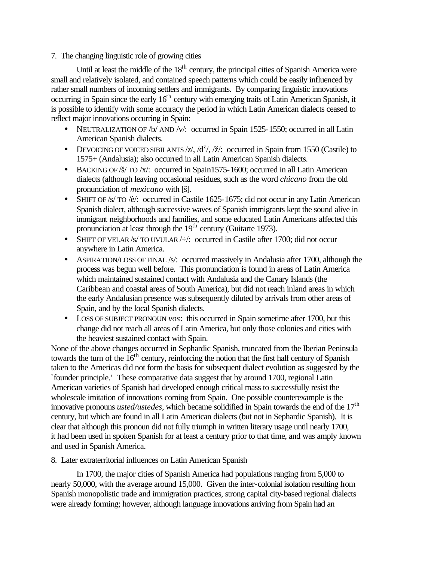# 7. The changing linguistic role of growing cities

Until at least the middle of the 18<sup>th</sup> century, the principal cities of Spanish America were small and relatively isolated, and contained speech patterns which could be easily influenced by rather small numbers of incoming settlers and immigrants. By comparing linguistic innovations occurring in Spain since the early 16<sup>th</sup> century with emerging traits of Latin American Spanish, it is possible to identify with some accuracy the period in which Latin American dialects ceased to reflect major innovations occurring in Spain:

- NEUTRALIZATION OF /b/ AND /v/: occurred in Spain 1525-1550; occurred in all Latin American Spanish dialects.
- DEVOICING OF VOICED SIBILANTS  $\frac{z}{, d^2}$ ,  $\frac{d^2}{, \dot{z}}$ : occurred in Spain from 1550 (Castile) to 1575+ (Andalusia); also occurred in all Latin American Spanish dialects.
- BACKING OF / $\frac{x}{x}$  TO /x/: occurred in Spain1575-1600; occurred in all Latin American dialects (although leaving occasional residues, such as the word *chicano* from the old pronunciation of *mexicano* with [š].
- SHIFT OF /s/ TO /è/: occurred in Castile 1625-1675; did not occur in any Latin American Spanish dialect, although successive waves of Spanish immigrants kept the sound alive in immigrant neighborhoods and families, and some educated Latin Americans affected this pronunciation at least through the 19<sup>th</sup> century (Guitarte 1973).
- SHIFT OF VELAR /s/ TO UVULAR  $\leftrightarrow$ : occurred in Castile after 1700; did not occur anywhere in Latin America.
- ASPIRATION/LOSS OF FINAL /s/: occurred massively in Andalusia after 1700, although the process was begun well before. This pronunciation is found in areas of Latin America which maintained sustained contact with Andalusia and the Canary Islands (the Caribbean and coastal areas of South America), but did not reach inland areas in which the early Andalusian presence was subsequently diluted by arrivals from other areas of Spain, and by the local Spanish dialects.
- LOSS OF SUBJECT PRONOUN *vos*: this occurred in Spain sometime after 1700, but this change did not reach all areas of Latin America, but only those colonies and cities with the heaviest sustained contact with Spain.

None of the above changes occurred in Sephardic Spanish, truncated from the Iberian Peninsula towards the turn of the  $16<sup>th</sup>$  century, reinforcing the notion that the first half century of Spanish taken to the Americas did not form the basis for subsequent dialect evolution as suggested by the `founder principle.' These comparative data suggest that by around 1700, regional Latin American varieties of Spanish had developed enough critical mass to successfully resist the wholescale imitation of innovations coming from Spain. One possible counterexample is the innovative pronouns *usted/ustedes*, which became solidified in Spain towards the end of the 17<sup>th</sup> century, but which are found in all Latin American dialects (but not in Sephardic Spanish). It is clear that although this pronoun did not fully triumph in written literary usage until nearly 1700, it had been used in spoken Spanish for at least a century prior to that time, and was amply known and used in Spanish America.

8. Later extraterritorial influences on Latin American Spanish

In 1700, the major cities of Spanish America had populations ranging from 5,000 to nearly 50,000, with the average around 15,000. Given the inter-colonial isolation resulting from Spanish monopolistic trade and immigration practices, strong capital city-based regional dialects were already forming; however, although language innovations arriving from Spain had an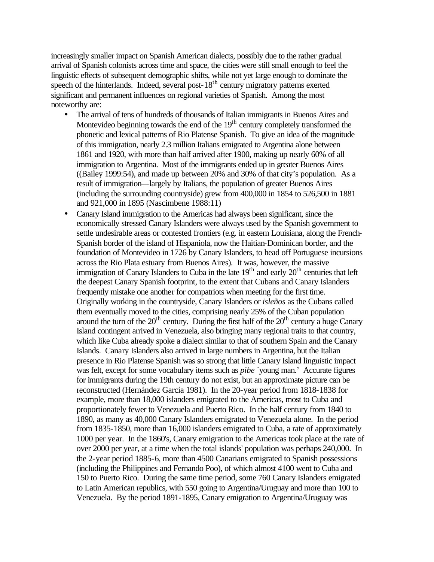increasingly smaller impact on Spanish American dialects, possibly due to the rather gradual arrival of Spanish colonists across time and space, the cities were still small enough to feel the linguistic effects of subsequent demographic shifts, while not yet large enough to dominate the speech of the hinterlands. Indeed, several post-18<sup>th</sup> century migratory patterns exerted significant and permanent influences on regional varieties of Spanish. Among the most noteworthy are:

- The arrival of tens of hundreds of thousands of Italian immigrants in Buenos Aires and Montevideo beginning towards the end of the  $19<sup>th</sup>$  century completely transformed the phonetic and lexical patterns of Rio Platense Spanish. To give an idea of the magnitude of this immigration, nearly 2.3 million Italians emigrated to Argentina alone between 1861 and 1920, with more than half arrived after 1900, making up nearly 60% of all immigration to Argentina. Most of the immigrants ended up in greater Buenos Aires ((Bailey 1999:54), and made up between 20% and 30% of that city's population. As a result of immigration—largely by Italians, the population of greater Buenos Aires (including the surrounding countryside) grew from 400,000 in 1854 to 526,500 in 1881 and 921,000 in 1895 (Nascimbene 1988:11)
- Canary Island immigration to the Americas had always been significant, since the economically stressed Canary Islanders were always used by the Spanish government to settle undesirable areas or contested frontiers (e.g. in eastern Louisiana, along the French-Spanish border of the island of Hispaniola, now the Haitian-Dominican border, and the foundation of Montevideo in 1726 by Canary Islanders, to head off Portuguese incursions across the Rio Plata estuary from Buenos Aires). It was, however, the massive immigration of Canary Islanders to Cuba in the late  $19<sup>th</sup>$  and early  $20<sup>th</sup>$  centuries that left the deepest Canary Spanish footprint, to the extent that Cubans and Canary Islanders frequently mistake one another for compatriots when meeting for the first time. Originally working in the countryside, Canary Islanders or *isleños* as the Cubans called them eventually moved to the cities, comprising nearly 25% of the Cuban population around the turn of the  $20<sup>th</sup>$  century. During the first half of the  $20<sup>th</sup>$  century a huge Canary Island contingent arrived in Venezuela, also bringing many regional traits to that country, which like Cuba already spoke a dialect similar to that of southern Spain and the Canary Islands. Canary Islanders also arrived in large numbers in Argentina, but the Italian presence in Rio Platense Spanish was so strong that little Canary Island linguistic impact was felt, except for some vocabulary items such as *pibe* `young man.' Accurate figures for immigrants during the 19th century do not exist, but an approximate picture can be reconstructed (Hernández García 1981). In the 20-year period from 1818-1838 for example, more than 18,000 islanders emigrated to the Americas, most to Cuba and proportionately fewer to Venezuela and Puerto Rico. In the half century from 1840 to 1890, as many as 40,000 Canary Islanders emigrated to Venezuela alone. In the period from 1835-1850, more than 16,000 islanders emigrated to Cuba, a rate of approximately 1000 per year. In the 1860's, Canary emigration to the Americas took place at the rate of over 2000 per year, at a time when the total islands' population was perhaps 240,000. In the 2-year period 1885-6, more than 4500 Canarians emigrated to Spanish possessions (including the Philippines and Fernando Poo), of which almost 4100 went to Cuba and 150 to Puerto Rico. During the same time period, some 760 Canary Islanders emigrated to Latin American republics, with 550 going to Argentina/Uruguay and more than 100 to Venezuela. By the period 1891-1895, Canary emigration to Argentina/Uruguay was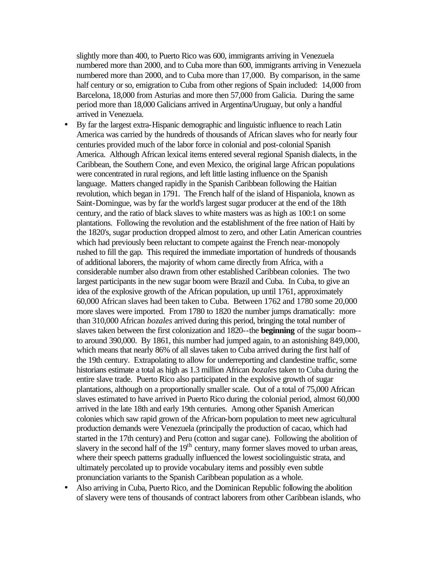slightly more than 400, to Puerto Rico was 600, immigrants arriving in Venezuela numbered more than 2000, and to Cuba more than 600, immigrants arriving in Venezuela numbered more than 2000, and to Cuba more than 17,000. By comparison, in the same half century or so, emigration to Cuba from other regions of Spain included: 14,000 from Barcelona, 18,000 from Asturias and more then 57,000 from Galicia. During the same period more than 18,000 Galicians arrived in Argentina/Uruguay, but only a handful arrived in Venezuela.

- By far the largest extra-Hispanic demographic and linguistic influence to reach Latin America was carried by the hundreds of thousands of African slaves who for nearly four centuries provided much of the labor force in colonial and post-colonial Spanish America. Although African lexical items entered several regional Spanish dialects, in the Caribbean, the Southern Cone, and even Mexico, the original large African populations were concentrated in rural regions, and left little lasting influence on the Spanish language. Matters changed rapidly in the Spanish Caribbean following the Haitian revolution, which began in 1791. The French half of the island of Hispaniola, known as Saint-Domingue, was by far the world's largest sugar producer at the end of the 18th century, and the ratio of black slaves to white masters was as high as 100:1 on some plantations. Following the revolution and the establishment of the free nation of Haiti by the 1820's, sugar production dropped almost to zero, and other Latin American countries which had previously been reluctant to compete against the French near-monopoly rushed to fill the gap. This required the immediate importation of hundreds of thousands of additional laborers, the majority of whom came directly from Africa, with a considerable number also drawn from other established Caribbean colonies. The two largest participants in the new sugar boom were Brazil and Cuba. In Cuba, to give an idea of the explosive growth of the African population, up until 1761, approximately 60,000 African slaves had been taken to Cuba. Between 1762 and 1780 some 20,000 more slaves were imported. From 1780 to 1820 the number jumps dramatically: more than 310,000 African *bozales* arrived during this period, bringing the total number of slaves taken between the first colonization and 1820--the **beginning** of the sugar boom- to around 390,000. By 1861, this number had jumped again, to an astonishing 849,000, which means that nearly 86% of all slaves taken to Cuba arrived during the first half of the 19th century. Extrapolating to allow for underreporting and clandestine traffic, some historians estimate a total as high as 1.3 million African *bozales* taken to Cuba during the entire slave trade. Puerto Rico also participated in the explosive growth of sugar plantations, although on a proportionally smaller scale. Out of a total of 75,000 African slaves estimated to have arrived in Puerto Rico during the colonial period, almost 60,000 arrived in the late 18th and early 19th centuries. Among other Spanish American colonies which saw rapid grown of the African-born population to meet new agricultural production demands were Venezuela (principally the production of cacao, which had started in the 17th century) and Peru (cotton and sugar cane). Following the abolition of slavery in the second half of the  $19<sup>th</sup>$  century, many former slaves moved to urban areas, where their speech patterns gradually influenced the lowest sociolinguistic strata, and ultimately percolated up to provide vocabulary items and possibly even subtle pronunciation variants to the Spanish Caribbean population as a whole.
- Also arriving in Cuba, Puerto Rico, and the Dominican Republic following the abolition of slavery were tens of thousands of contract laborers from other Caribbean islands, who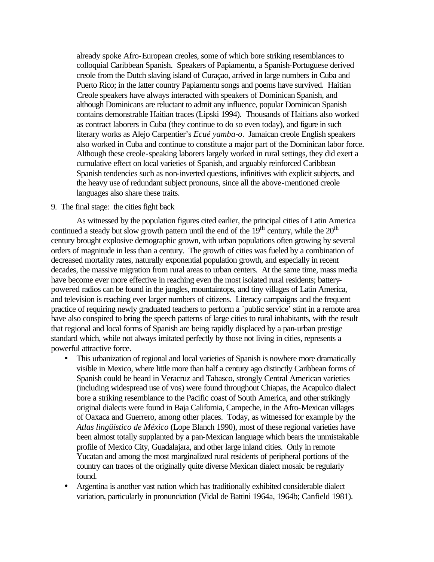already spoke Afro-European creoles, some of which bore striking resemblances to colloquial Caribbean Spanish. Speakers of Papiamentu, a Spanish-Portuguese derived creole from the Dutch slaving island of Curaçao, arrived in large numbers in Cuba and Puerto Rico; in the latter country Papiamentu songs and poems have survived. Haitian Creole speakers have always interacted with speakers of Dominican Spanish, and although Dominicans are reluctant to admit any influence, popular Dominican Spanish contains demonstrable Haitian traces (Lipski 1994). Thousands of Haitians also worked as contract laborers in Cuba (they continue to do so even today), and figure in such literary works as Alejo Carpentier's *Ecué yamba-o*. Jamaican creole English speakers also worked in Cuba and continue to constitute a major part of the Dominican labor force. Although these creole-speaking laborers largely worked in rural settings, they did exert a cumulative effect on local varieties of Spanish, and arguably reinforced Caribbean Spanish tendencies such as non-inverted questions, infinitives with explicit subjects, and the heavy use of redundant subject pronouns, since all the above-mentioned creole languages also share these traits.

# 9. The final stage: the cities fight back

As witnessed by the population figures cited earlier, the principal cities of Latin America continued a steady but slow growth pattern until the end of the  $19<sup>th</sup>$  century, while the  $20<sup>th</sup>$ century brought explosive demographic grown, with urban populations often growing by several orders of magnitude in less than a century. The growth of cities was fueled by a combination of decreased mortality rates, naturally exponential population growth, and especially in recent decades, the massive migration from rural areas to urban centers. At the same time, mass media have become ever more effective in reaching even the most isolated rural residents; batterypowered radios can be found in the jungles, mountaintops, and tiny villages of Latin America, and television is reaching ever larger numbers of citizens. Literacy campaigns and the frequent practice of requiring newly graduated teachers to perform a `public service' stint in a remote area have also conspired to bring the speech patterns of large cities to rural inhabitants, with the result that regional and local forms of Spanish are being rapidly displaced by a pan-urban prestige standard which, while not always imitated perfectly by those not living in cities, represents a powerful attractive force.

- This urbanization of regional and local varieties of Spanish is nowhere more dramatically visible in Mexico, where little more than half a century ago distinctly Caribbean forms of Spanish could be heard in Veracruz and Tabasco, strongly Central American varieties (including widespread use of vos) were found throughout Chiapas, the Acapulco dialect bore a striking resemblance to the Pacific coast of South America, and other strikingly original dialects were found in Baja California, Campeche, in the Afro-Mexican villages of Oaxaca and Guerrero, among other places. Today, as witnessed for example by the *Atlas lingüístico de México* (Lope Blanch 1990), most of these regional varieties have been almost totally supplanted by a pan-Mexican language which bears the unmistakable profile of Mexico City, Guadalajara, and other large inland cities. Only in remote Yucatan and among the most marginalized rural residents of peripheral portions of the country can traces of the originally quite diverse Mexican dialect mosaic be regularly found.
- Argentina is another vast nation which has traditionally exhibited considerable dialect variation, particularly in pronunciation (Vidal de Battini 1964a, 1964b; Canfield 1981).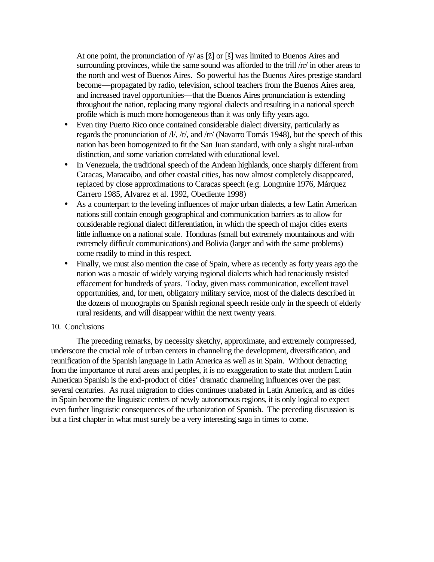At one point, the pronunciation of /y/ as [ž] or [š] was limited to Buenos Aires and surrounding provinces, while the same sound was afforded to the trill /rr/ in other areas to the north and west of Buenos Aires. So powerful has the Buenos Aires prestige standard become—propagated by radio, television, school teachers from the Buenos Aires area, and increased travel opportunities—that the Buenos Aires pronunciation is extending throughout the nation, replacing many regional dialects and resulting in a national speech profile which is much more homogeneous than it was only fifty years ago.

- Even tiny Puerto Rico once contained considerable dialect diversity, particularly as regards the pronunciation of /l/, /r/, and /rr/ (Navarro Tomás 1948), but the speech of this nation has been homogenized to fit the San Juan standard, with only a slight rural-urban distinction, and some variation correlated with educational level.
- In Venezuela, the traditional speech of the Andean highlands, once sharply different from Caracas, Maracaibo, and other coastal cities, has now almost completely disappeared, replaced by close approximations to Caracas speech (e.g. Longmire 1976, Márquez Carrero 1985, Alvarez et al. 1992, Obediente 1998)
- As a counterpart to the leveling influences of major urban dialects, a few Latin American nations still contain enough geographical and communication barriers as to allow for considerable regional dialect differentiation, in which the speech of major cities exerts little influence on a national scale. Honduras (small but extremely mountainous and with extremely difficult communications) and Bolivia (larger and with the same problems) come readily to mind in this respect.
- Finally, we must also mention the case of Spain, where as recently as forty years ago the nation was a mosaic of widely varying regional dialects which had tenaciously resisted effacement for hundreds of years. Today, given mass communication, excellent travel opportunities, and, for men, obligatory military service, most of the dialects described in the dozens of monographs on Spanish regional speech reside only in the speech of elderly rural residents, and will disappear within the next twenty years.

## 10. Conclusions

The preceding remarks, by necessity sketchy, approximate, and extremely compressed, underscore the crucial role of urban centers in channeling the development, diversification, and reunification of the Spanish language in Latin America as well as in Spain. Without detracting from the importance of rural areas and peoples, it is no exaggeration to state that modern Latin American Spanish is the end-product of cities' dramatic channeling influences over the past several centuries. As rural migration to cities continues unabated in Latin America, and as cities in Spain become the linguistic centers of newly autonomous regions, it is only logical to expect even further linguistic consequences of the urbanization of Spanish. The preceding discussion is but a first chapter in what must surely be a very interesting saga in times to come.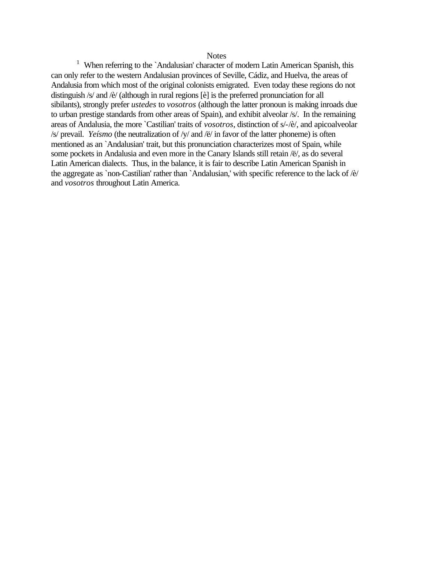#### **Notes**

<sup>1</sup> When referring to the `Andalusian' character of modern Latin American Spanish, this can only refer to the western Andalusian provinces of Seville, Cádiz, and Huelva, the areas of Andalusia from which most of the original colonists emigrated. Even today these regions do not distinguish /s/ and /è/ (although in rural regions [è] is the preferred pronunciation for all sibilants), strongly prefer *ustedes* to *vosotros* (although the latter pronoun is making inroads due to urban prestige standards from other areas of Spain), and exhibit alveolar /s/. In the remaining areas of Andalusia, the more `Castilian' traits of *vosotros*, distinction of s/-/è/, and apicoalveolar /s/ prevail. *Yeísmo* (the neutralization of /y/ and /ë/ in favor of the latter phoneme) is often mentioned as an `Andalusian' trait, but this pronunciation characterizes most of Spain, while some pockets in Andalusia and even more in the Canary Islands still retain /ë/, as do several Latin American dialects. Thus, in the balance, it is fair to describe Latin American Spanish in the aggregate as `non-Castilian' rather than `Andalusian,' with specific reference to the lack of /è/ and *vosotros* throughout Latin America.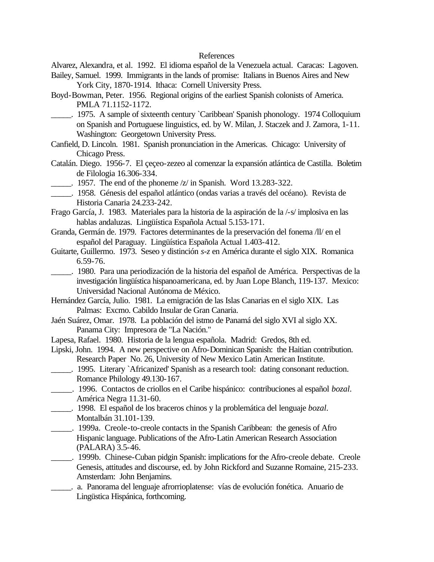### References

Alvarez, Alexandra, et al. 1992. El idioma español de la Venezuela actual. Caracas: Lagoven.

- Bailey, Samuel. 1999. Immigrants in the lands of promise: Italians in Buenos Aires and New York City, 1870-1914. Ithaca: Cornell University Press.
- Boyd-Bowman, Peter. 1956. Regional origins of the earliest Spanish colonists of America. PMLA 71.1152-1172.
- \_\_\_\_\_. 1975. A sample of sixteenth century `Caribbean' Spanish phonology. 1974 Colloquium on Spanish and Portuguese linguistics, ed. by W. Milan, J. Staczek and J. Zamora, 1-11. Washington: Georgetown University Press.
- Canfield, D. Lincoln. 1981. Spanish pronunciation in the Americas. Chicago: University of Chicago Press.
- Catalán. Diego. 1956-7. El çeçeo-zezeo al comenzar la expansión atlántica de Castilla. Boletim de Filologia 16.306-334.
	- \_\_\_\_\_. 1957. The end of the phoneme /z/ in Spanish. Word 13.283-322.
- \_\_\_\_\_. 1958. Génesis del español atlántico (ondas varias a través del océano). Revista de Historia Canaria 24.233-242.
- Frago García, J. 1983. Materiales para la historia de la aspiración de la /-s/ implosiva en las hablas andaluzas. Lingüística Española Actual 5.153-171.
- Granda, Germán de. 1979. Factores determinantes de la preservación del fonema /ll/ en el español del Paraguay. Lingüística Española Actual 1.403-412.
- Guitarte, Guillermo. 1973. Seseo y distinción *s-z* en América durante el siglo XIX. Romanica 6.59-76.
- \_\_\_\_\_. 1980. Para una periodización de la historia del español de América. Perspectivas de la investigación lingüística hispanoamericana, ed. by Juan Lope Blanch, 119-137. Mexico: Universidad Nacional Autónoma de México.
- Hernández García, Julio. 1981. La emigración de las Islas Canarias en el siglo XIX. Las Palmas: Excmo. Cabildo Insular de Gran Canaria.
- Jaén Suárez, Omar. 1978. La población del istmo de Panamá del siglo XVI al siglo XX. Panama City: Impresora de "La Nación."
- Lapesa, Rafael. 1980. Historia de la lengua española. Madrid: Gredos, 8th ed.
- Lipski, John. 1994. A new perspective on Afro-Dominican Spanish: the Haitian contribution. Research Paper No. 26, University of New Mexico Latin American Institute.
- \_\_\_\_\_. 1995. Literary `Africanized' Spanish as a research tool: dating consonant reduction. Romance Philology 49.130-167.
- \_\_\_\_\_. 1996. Contactos de criollos en el Caribe hispánico: contribuciones al español *bozal*. América Negra 11.31-60.
- \_\_\_\_\_. 1998. El español de los braceros chinos y la problemática del lenguaje *bozal*. Montalbán 31.101-139.
- \_\_\_\_\_. 1999a. Creole-to-creole contacts in the Spanish Caribbean: the genesis of Afro Hispanic language. Publications of the Afro-Latin American Research Association (PALARA) 3.5-46.
- \_\_\_\_\_. 1999b. Chinese-Cuban pidgin Spanish: implications for the Afro-creole debate. Creole Genesis, attitudes and discourse, ed. by John Rickford and Suzanne Romaine, 215-233. Amsterdam: John Benjamins.
- \_\_\_\_\_. a. Panorama del lenguaje afrorrioplatense: vías de evolución fonética. Anuario de Lingüstica Hispánica, forthcoming.